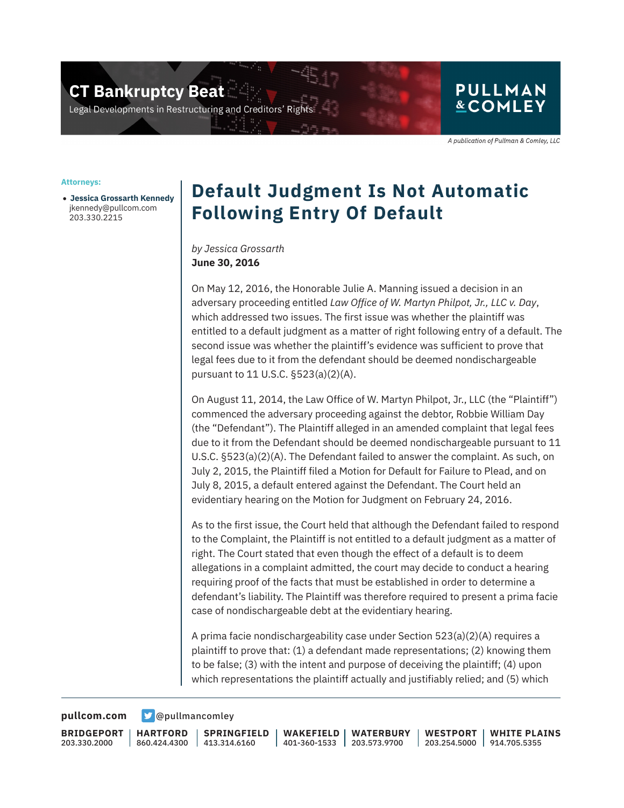**CT Bankruptcy Beat** 

Legal Developments in Restructuring and Creditors' Rig

## **PULLMAN &COMLEY**

A publication of Pullman & Comley, LLC

#### **Attorneys:**

● **Jessica Grossarth Kennedy** jkennedy@pullcom.com 203.330.2215

# **Default Judgment Is Not Automatic Following Entry Of Default**

### *by Jessica Grossarth* **June 30, 2016**

On May 12, 2016, the Honorable Julie A. Manning issued a decision in an adversary proceeding entitled *Law Office of W. Martyn Philpot, Jr., LLC v. Day*, which addressed two issues. The first issue was whether the plaintiff was entitled to a default judgment as a matter of right following entry of a default. The second issue was whether the plaintiff's evidence was sufficient to prove that legal fees due to it from the defendant should be deemed nondischargeable pursuant to 11 U.S.C. §523(a)(2)(A).

On August 11, 2014, the Law Office of W. Martyn Philpot, Jr., LLC (the "Plaintiff") commenced the adversary proceeding against the debtor, Robbie William Day (the "Defendant"). The Plaintiff alleged in an amended complaint that legal fees due to it from the Defendant should be deemed nondischargeable pursuant to 11 U.S.C. §523(a)(2)(A). The Defendant failed to answer the complaint. As such, on July 2, 2015, the Plaintiff filed a Motion for Default for Failure to Plead, and on July 8, 2015, a default entered against the Defendant. The Court held an evidentiary hearing on the Motion for Judgment on February 24, 2016.

As to the first issue, the Court held that although the Defendant failed to respond to the Complaint, the Plaintiff is not entitled to a default judgment as a matter of right. The Court stated that even though the effect of a default is to deem allegations in a complaint admitted, the court may decide to conduct a hearing requiring proof of the facts that must be established in order to determine a defendant's liability. The Plaintiff was therefore required to present a prima facie case of nondischargeable debt at the evidentiary hearing.

A prima facie nondischargeability case under Section 523(a)(2)(A) requires a plaintiff to prove that: (1) a defendant made representations; (2) knowing them to be false; (3) with the intent and purpose of deceiving the plaintiff; (4) upon which representations the plaintiff actually and justifiably relied; and (5) which

**[pullcom.com](https://www.pullcom.com) g** [@pullmancomley](https://twitter.com/PullmanComley)

**BRIDGEPORT** 203.330.2000

**HARTFORD**

860.424.4300 413.314.6160 **SPRINGFIELD**

**WAKEFIELD** 401-360-1533 **WATERBURY** 203.573.9700

**WESTPORT** 203.254.5000 914.705.5355 **WHITE PLAINS**